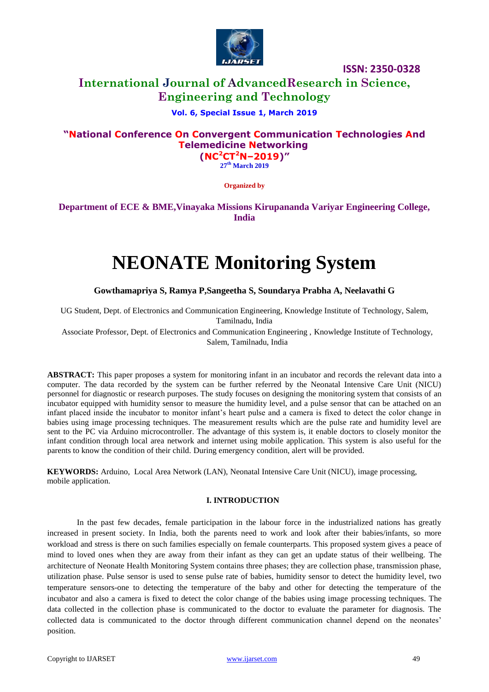

## **International Journal of AdvancedResearch in Science, Engineering and Technology**

### **Vol. 6, Special Issue 1, March 2019**

### **"National Conference On Convergent Communication Technologies And Telemedicine Networking (NC<sup>2</sup>CT<sup>2</sup>N–2019)"**

**27 th March 2019**

**Organized by**

## **Department of ECE & BME,Vinayaka Missions Kirupananda Variyar Engineering College, India**

# **NEONATE Monitoring System**

**Gowthamapriya S, Ramya P,Sangeetha S, Soundarya Prabha A, Neelavathi G**

UG Student, Dept. of Electronics and Communication Engineering, Knowledge Institute of Technology, Salem, Tamilnadu, India

Associate Professor, Dept. of Electronics and Communication Engineering , Knowledge Institute of Technology, Salem, Tamilnadu, India

**ABSTRACT:** This paper proposes a system for monitoring infant in an incubator and records the relevant data into a computer. The data recorded by the system can be further referred by the Neonatal Intensive Care Unit (NICU) personnel for diagnostic or research purposes. The study focuses on designing the monitoring system that consists of an incubator equipped with humidity sensor to measure the humidity level, and a pulse sensor that can be attached on an infant placed inside the incubator to monitor infant's heart pulse and a camera is fixed to detect the color change in babies using image processing techniques. The measurement results which are the pulse rate and humidity level are sent to the PC via Arduino microcontroller. The advantage of this system is, it enable doctors to closely monitor the infant condition through local area network and internet using mobile application. This system is also useful for the parents to know the condition of their child. During emergency condition, alert will be provided.

**KEYWORDS:** [Arduino, Local Area Network \(LAN\),](http://ieeexplore.ieee.org/search/searchresult.jsp?matchBoolean=true&queryText=%22Index%20Terms%22:.QT.Virtual%20Touch%20Screen.QT.&newsearch=true) Neonatal Intensive Care Unit (NICU), image processing, mobile application.

#### **I. INTRODUCTION**

In the past few decades, female participation in the labour force in the industrialized nations has greatly increased in present society. In India, both the parents need to work and look after their babies/infants, so more workload and stress is there on such families especially on female counterparts. This proposed system gives a peace of mind to loved ones when they are away from their infant as they can get an update status of their wellbeing. The architecture of Neonate Health Monitoring System contains three phases; they are collection phase, transmission phase, utilization phase. Pulse sensor is used to sense pulse rate of babies, humidity sensor to detect the humidity level, two temperature sensors-one to detecting the temperature of the baby and other for detecting the temperature of the incubator and also a camera is fixed to detect the color change of the babies using image processing techniques. The data collected in the collection phase is communicated to the doctor to evaluate the parameter for diagnosis. The collected data is communicated to the doctor through different communication channel depend on the neonates' position.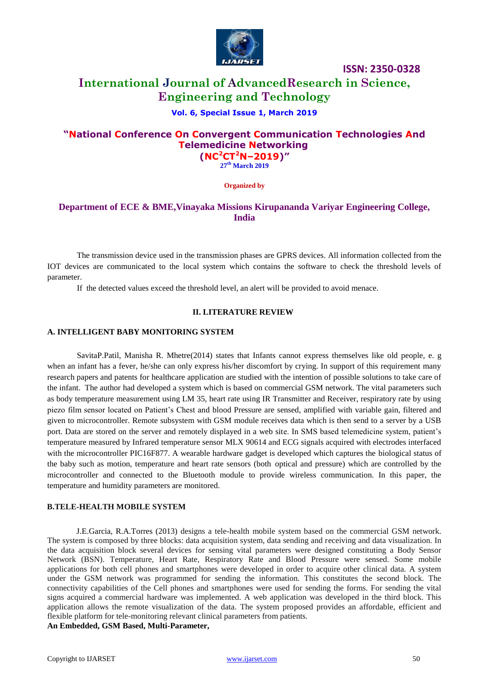

## **International Journal of AdvancedResearch in Science, Engineering and Technology**

#### **Vol. 6, Special Issue 1, March 2019**

## **"National Conference On Convergent Communication Technologies And Telemedicine Networking (NC<sup>2</sup>CT<sup>2</sup>N–2019)"**

**27 th March 2019**

**Organized by**

## **Department of ECE & BME,Vinayaka Missions Kirupananda Variyar Engineering College, India**

The transmission device used in the transmission phases are GPRS devices. All information collected from the IOT devices are communicated to the local system which contains the software to check the threshold levels of parameter.

If the detected values exceed the threshold level, an alert will be provided to avoid menace.

#### **II. LITERATURE REVIEW**

#### **A. INTELLIGENT BABY MONITORING SYSTEM**

SavitaP.Patil, Manisha R. Mhetre(2014) states that Infants cannot express themselves like old people, e. g when an infant has a fever, he/she can only express his/her discomfort by crying. In support of this requirement many research papers and patents for healthcare application are studied with the intention of possible solutions to take care of the infant. The author had developed a system which is based on commercial GSM network. The vital parameters such as body temperature measurement using LM 35, heart rate using IR Transmitter and Receiver, respiratory rate by using piezo film sensor located on Patient's Chest and blood Pressure are sensed, amplified with variable gain, filtered and given to microcontroller. Remote subsystem with GSM module receives data which is then send to a server by a USB port. Data are stored on the server and remotely displayed in a web site. In SMS based telemedicine system, patient's temperature measured by Infrared temperature sensor MLX 90614 and ECG signals acquired with electrodes interfaced with the microcontroller PIC16F877. A wearable hardware gadget is developed which captures the biological status of the baby such as motion, temperature and heart rate sensors (both optical and pressure) which are controlled by the microcontroller and connected to the Bluetooth module to provide wireless communication. In this paper, the temperature and humidity parameters are monitored.

#### **B.TELE-HEALTH MOBILE SYSTEM**

J.E.Garcia, R.A.Torres (2013) designs a tele-health mobile system based on the commercial GSM network. The system is composed by three blocks: data acquisition system, data sending and receiving and data visualization. In the data acquisition block several devices for sensing vital parameters were designed constituting a Body Sensor Network (BSN). Temperature, Heart Rate, Respiratory Rate and Blood Pressure were sensed. Some mobile applications for both cell phones and smartphones were developed in order to acquire other clinical data. A system under the GSM network was programmed for sending the information. This constitutes the second block. The connectivity capabilities of the Cell phones and smartphones were used for sending the forms. For sending the vital signs acquired a commercial hardware was implemented. A web application was developed in the third block. This application allows the remote visualization of the data. The system proposed provides an affordable, efficient and flexible platform for tele-monitoring relevant clinical parameters from patients.

**An Embedded, GSM Based, Multi-Parameter,**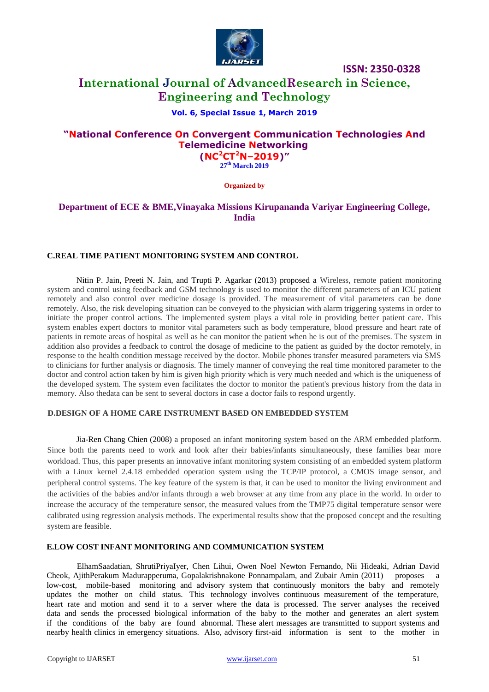

## **International Journal of AdvancedResearch in Science, Engineering and Technology**

#### **Vol. 6, Special Issue 1, March 2019**

## **"National Conference On Convergent Communication Technologies And Telemedicine Networking**

**(NC<sup>2</sup>CT<sup>2</sup>N–2019)" 27 th March 2019**

**Organized by**

## **Department of ECE & BME,Vinayaka Missions Kirupananda Variyar Engineering College, India**

#### **C.REAL TIME PATIENT MONITORING SYSTEM AND CONTROL**

Nitin P. Jain, Preeti N. Jain, and Trupti P. Agarkar (2013) proposed a Wireless, remote patient monitoring system and control using feedback and GSM technology is used to monitor the different parameters of an ICU patient remotely and also control over medicine dosage is provided. The measurement of vital parameters can be done remotely. Also, the risk developing situation can be conveyed to the physician with alarm triggering systems in order to initiate the proper control actions. The implemented system plays a vital role in providing better patient care. This system enables expert doctors to monitor vital parameters such as body temperature, blood pressure and heart rate of patients in remote areas of hospital as well as he can monitor the patient when he is out of the premises. The system in addition also provides a feedback to control the dosage of medicine to the patient as guided by the doctor remotely, in response to the health condition message received by the doctor. Mobile phones transfer measured parameters via SMS to clinicians for further analysis or diagnosis. The timely manner of conveying the real time monitored parameter to the doctor and control action taken by him is given high priority which is very much needed and which is the uniqueness of the developed system. The system even facilitates the doctor to monitor the patient's previous history from the data in memory. Also thedata can be sent to several doctors in case a doctor fails to respond urgently.

#### **D.DESIGN OF A HOME CARE INSTRUMENT BASED ON EMBEDDED SYSTEM**

Jia-Ren Chang Chien (2008) a proposed an infant monitoring system based on the ARM embedded platform. Since both the parents need to work and look after their babies/infants simultaneously, these families bear more workload. Thus, this paper presents an innovative infant monitoring system consisting of an embedded system platform with a Linux kernel 2.4.18 embedded operation system using the TCP/IP protocol, a CMOS image sensor, and peripheral control systems. The key feature of the system is that, it can be used to monitor the living environment and the activities of the babies and/or infants through a web browser at any time from any place in the world. In order to increase the accuracy of the temperature sensor, the measured values from the TMP75 digital temperature sensor were calibrated using regression analysis methods. The experimental results show that the proposed concept and the resulting system are feasible.

#### **E.LOW COST INFANT MONITORING AND COMMUNICATION SYSTEM**

ElhamSaadatian, ShrutiPriyaIyer, Chen Lihui, Owen Noel Newton Fernando, Nii Hideaki, Adrian David Cheok, AjithPerakum Madurapperuma, Gopalakrishnakone Ponnampalam, and Zubair Amin (2011) proposes a low-cost, mobile-based monitoring and advisory system that continuously monitors the baby and remotely updates the mother on child status. This technology involves continuous measurement of the temperature, heart rate and motion and send it to a server where the data is processed. The server analyses the received data and sends the processed biological information of the baby to the mother and generates an alert system if the conditions of the baby are found abnormal. These alert messages are transmitted to support systems and nearby health clinics in emergency situations. Also, advisory first-aid information is sent to the mother in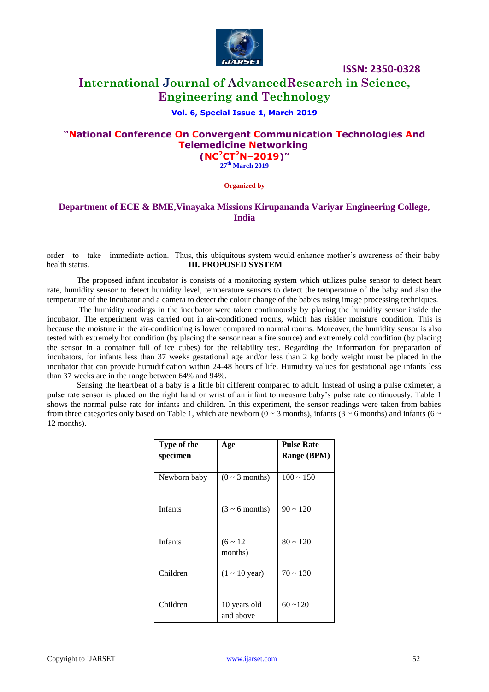

## **International Journal of AdvancedResearch in Science, Engineering and Technology**

#### **Vol. 6, Special Issue 1, March 2019**

### **"National Conference On Convergent Communication Technologies And Telemedicine Networking (NC<sup>2</sup>CT<sup>2</sup>N–2019)"**

**27 th March 2019**

**Organized by**

### **Department of ECE & BME,Vinayaka Missions Kirupananda Variyar Engineering College, India**

order to take immediate action. Thus, this ubiquitous system would enhance mother's awareness of their baby health status. **III. PROPOSED SYSTEM**

The proposed infant incubator is consists of a monitoring system which utilizes pulse sensor to detect heart rate, humidity sensor to detect humidity level, temperature sensors to detect the temperature of the baby and also the temperature of the incubator and a camera to detect the colour change of the babies using image processing techniques.

The humidity readings in the incubator were taken continuously by placing the humidity sensor inside the incubator. The experiment was carried out in air-conditioned rooms, which has riskier moisture condition. This is because the moisture in the air-conditioning is lower compared to normal rooms. Moreover, the humidity sensor is also tested with extremely hot condition (by placing the sensor near a fire source) and extremely cold condition (by placing the sensor in a container full of ice cubes) for the reliability test. Regarding the information for preparation of incubators, for infants less than 37 weeks gestational age and/or less than 2 kg body weight must be placed in the incubator that can provide humidification within 24-48 hours of life. Humidity values for gestational age infants less than 37 weeks are in the range between 64% and 94%.

Sensing the heartbeat of a baby is a little bit different compared to adult. Instead of using a pulse oximeter, a pulse rate sensor is placed on the right hand or wrist of an infant to measure baby's pulse rate continuously. Table 1 shows the normal pulse rate for infants and children. In this experiment, the sensor readings were taken from babies from three categories only based on Table 1, which are newborn ( $0 \sim 3$  months), infants ( $3 \sim 6$  months) and infants ( $6 \sim$ 12 months).

| Type of the    | Age                        | <b>Pulse Rate</b> |
|----------------|----------------------------|-------------------|
| specimen       |                            | Range (BPM)       |
|                |                            |                   |
| Newborn baby   | $(0 \sim 3$ months)        | $100 \sim 150$    |
|                |                            |                   |
|                |                            |                   |
| Infants        | $(3 \sim 6$ months)        | $90 \sim 120$     |
|                |                            |                   |
|                |                            |                   |
| <b>Infants</b> | $(6 \sim 12)$              | $80 \sim 120$     |
|                | months)                    |                   |
|                |                            |                   |
| Children       | $(1 \sim 10 \text{ year})$ | $70 \sim 130$     |
|                |                            |                   |
|                |                            |                   |
| Children       | 10 years old               | $60 - 120$        |
|                | and above                  |                   |
|                |                            |                   |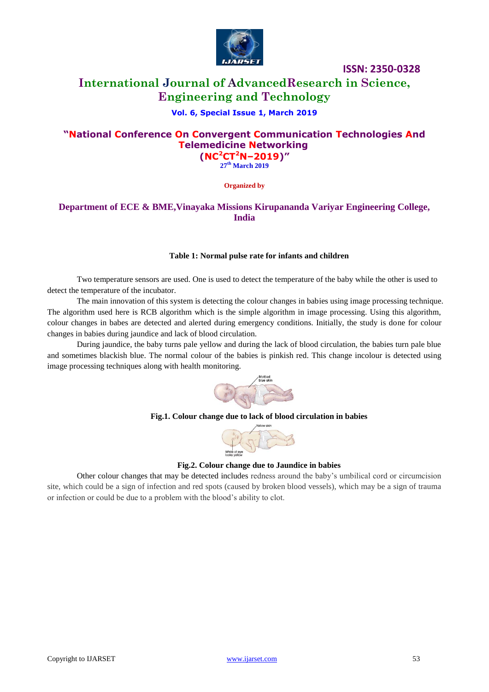

## **International Journal of AdvancedResearch in Science, Engineering and Technology**

#### **Vol. 6, Special Issue 1, March 2019**

## **"National Conference On Convergent Communication Technologies And Telemedicine Networking (NC<sup>2</sup>CT<sup>2</sup>N–2019)"**

**27 th March 2019**

**Organized by**

## **Department of ECE & BME,Vinayaka Missions Kirupananda Variyar Engineering College, India**

#### **Table 1: Normal pulse rate for infants and children**

Two temperature sensors are used. One is used to detect the temperature of the baby while the other is used to detect the temperature of the incubator.

The main innovation of this system is detecting the colour changes in babies using image processing technique. The algorithm used here is RCB algorithm which is the simple algorithm in image processing. Using this algorithm, colour changes in babes are detected and alerted during emergency conditions. Initially, the study is done for colour changes in babies during jaundice and lack of blood circulation.

During jaundice, the baby turns pale yellow and during the lack of blood circulation, the babies turn pale blue and sometimes blackish blue. The normal colour of the babies is pinkish red. This change incolour is detected using image processing techniques along with health monitoring.



#### **Fig.1. Colour change due to lack of blood circulation in babies**



#### **Fig.2. Colour change due to Jaundice in babies**

Other colour changes that may be detected includes redness around the baby's umbilical cord or circumcision site, which could be a sign of infection and red spots (caused by broken blood vessels), which may be a sign of trauma or infection or could be due to a problem with the blood's ability to clot.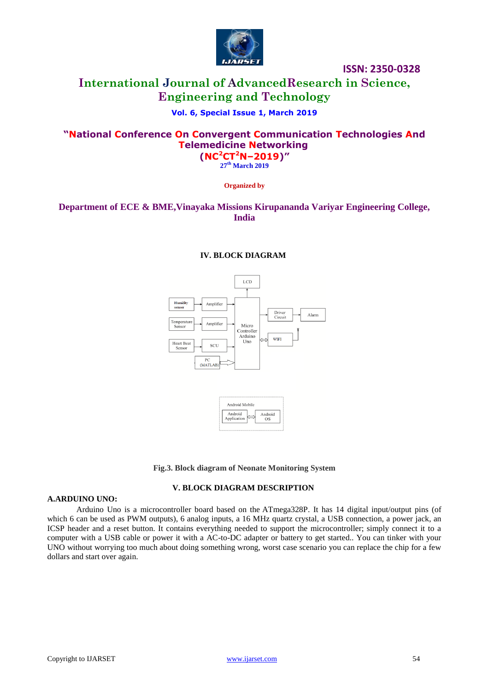

## **International Journal of AdvancedResearch in Science, Engineering and Technology**

## **Vol. 6, Special Issue 1, March 2019**

## **"National Conference On Convergent Communication Technologies And Telemedicine Networking (NC<sup>2</sup>CT<sup>2</sup>N–2019)"**

**27 th March 2019**

**Organized by**

## **Department of ECE & BME,Vinayaka Missions Kirupananda Variyar Engineering College, India**

#### **IV. BLOCK DIAGRAM**



**Fig.3. Block diagram of Neonate Monitoring System**

#### **V. BLOCK DIAGRAM DESCRIPTION**

#### **A.ARDUINO UNO:**

Arduino Uno is a microcontroller board based on the [ATmega328P.](http://www.atmel.com/Images/doc8161.pdf) It has 14 digital input/output pins (of which 6 can be used as PWM outputs), 6 analog inputs, a 16 MHz quartz crystal, a USB connection, a power jack, an ICSP header and a reset button. It contains everything needed to support the microcontroller; simply connect it to a computer with a USB cable or power it with a AC-to-DC adapter or battery to get started.. You can tinker with your UNO without worrying too much about doing something wrong, worst case scenario you can replace the chip for a few dollars and start over again.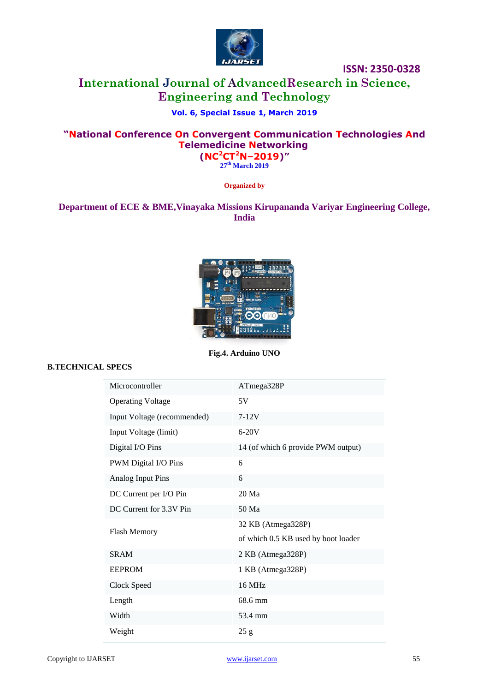

## **International Journal of AdvancedResearch in Science, Engineering and Technology**

## **Vol. 6, Special Issue 1, March 2019**

## **"National Conference On Convergent Communication Technologies And Telemedicine Networking (NC<sup>2</sup>CT<sup>2</sup>N–2019)"**

**27 th March 2019**

**Organized by**

## **Department of ECE & BME,Vinayaka Missions Kirupananda Variyar Engineering College, India**



**Fig.4. Arduino UNO**

#### **B.TECHNICAL SPECS**

| Microcontroller             | ATmega328P                          |  |
|-----------------------------|-------------------------------------|--|
| <b>Operating Voltage</b>    | 5V                                  |  |
| Input Voltage (recommended) | $7-12V$                             |  |
| Input Voltage (limit)       | $6-20V$                             |  |
| Digital I/O Pins            | 14 (of which 6 provide PWM output)  |  |
| PWM Digital I/O Pins        | 6                                   |  |
| Analog Input Pins           | 6                                   |  |
| DC Current per I/O Pin      | 20 Ma                               |  |
| DC Current for 3.3V Pin     | 50 Ma                               |  |
| <b>Flash Memory</b>         | 32 KB (Atmega328P)                  |  |
|                             | of which 0.5 KB used by boot loader |  |
| <b>SRAM</b>                 | 2 KB (Atmega328P)                   |  |
| <b>EEPROM</b>               | 1 KB (Atmega328P)                   |  |
| Clock Speed                 | 16 MHz                              |  |
| Length                      | 68.6 mm                             |  |
| Width                       | 53.4 mm                             |  |
| Weight                      | 25 g                                |  |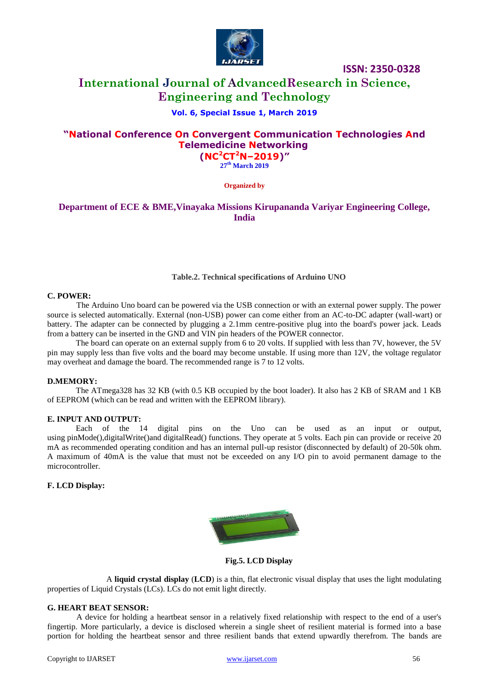

## **International Journal of AdvancedResearch in Science, Engineering and Technology**

#### **Vol. 6, Special Issue 1, March 2019**

## **"National Conference On Convergent Communication Technologies And Telemedicine Networking (NC<sup>2</sup>CT<sup>2</sup>N–2019)"**

**27 th March 2019**

**Organized by**

## **Department of ECE & BME,Vinayaka Missions Kirupananda Variyar Engineering College, India**

#### **Table.2. Technical specifications of Arduino UNO**

#### **C. POWER:**

The Arduino Uno board can be powered via the USB connection or with an external power supply. The power source is selected automatically. External (non-USB) power can come either from an AC-to-DC adapter (wall-wart) or battery. The adapter can be connected by plugging a 2.1mm centre-positive plug into the board's power jack. Leads from a battery can be inserted in the GND and VIN pin headers of the POWER connector.

The board can operate on an external supply from 6 to 20 volts. If supplied with less than 7V, however, the 5V pin may supply less than five volts and the board may become unstable. If using more than 12V, the voltage regulator may overheat and damage the board. The recommended range is 7 to 12 volts.

#### **D.MEMORY:**

The ATmega328 has 32 KB (with 0.5 KB occupied by the boot loader). It also has 2 KB of SRAM and 1 KB of EEPROM (which can be read and written with the [EEPROM library\)](https://www.arduino.cc/en/Reference/EEPROM).

#### **E. INPUT AND OUTPUT:**

Each of the 14 digital pins on the Uno can be used as an input or output, using [pinMode\(\),](https://www.arduino.cc/en/Reference/PinMode)[digitalWrite\(\)a](https://www.arduino.cc/en/Reference/DigitalWrite)nd [digitalRead\(\)](https://www.arduino.cc/en/Reference/DigitalRead) functions. They operate at 5 volts. Each pin can provide or receive 20 mA as recommended operating condition and has an internal pull-up resistor (disconnected by default) of 20-50k ohm. A maximum of 40mA is the value that must not be exceeded on any I/O pin to avoid permanent damage to the microcontroller.

#### **F. LCD Display:**



**Fig.5. LCD Display**

A **liquid crystal display** (**LCD**) is a thin, flat electronic visual display that uses the light modulating properties of Liquid Crystals (LCs). LCs do not emit light directly.

#### **G. HEART BEAT SENSOR:**

A device for holding a heartbeat sensor in a relatively fixed relationship with respect to the end of a user's fingertip. More particularly, a device is disclosed wherein a single sheet of resilient material is formed into a base portion for holding the heartbeat sensor and three resilient bands that extend upwardly therefrom. The bands are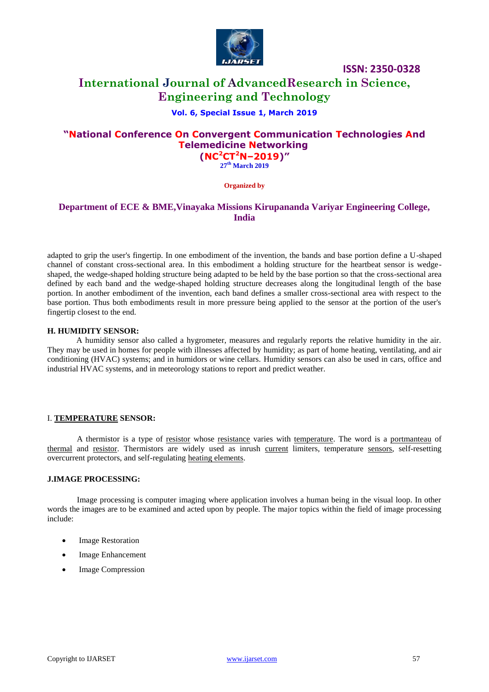

## **International Journal of AdvancedResearch in Science, Engineering and Technology**

#### **Vol. 6, Special Issue 1, March 2019**

## **"National Conference On Convergent Communication Technologies And Telemedicine Networking (NC<sup>2</sup>CT<sup>2</sup>N–2019)"**

**27 th March 2019**

**Organized by**

## **Department of ECE & BME,Vinayaka Missions Kirupananda Variyar Engineering College, India**

adapted to grip the user's fingertip. In one embodiment of the invention, the bands and base portion define a U-shaped channel of constant cross-sectional area. In this embodiment a holding structure for the heartbeat sensor is wedgeshaped, the wedge-shaped holding structure being adapted to be held by the base portion so that the cross-sectional area defined by each band and the wedge-shaped holding structure decreases along the longitudinal length of the base portion. In another embodiment of the invention, each band defines a smaller cross-sectional area with respect to the base portion. Thus both embodiments result in more pressure being applied to the sensor at the portion of the user's fingertip closest to the end.

#### **H. HUMIDITY SENSOR:**

A humidity sensor also called a hygrometer, measures and regularly reports the relative humidity in the air. They may be used in homes for people with illnesses affected by humidity; as part of home heating, ventilating, and air conditioning (HVAC) systems; and in humidors or wine cellars. Humidity sensors can also be used in cars, office and industrial HVAC systems, and in meteorology stations to report and predict weather.

#### I. **[TEMPERATURE](http://en.wikipedia.org/wiki/Temperature) SENSOR:**

A thermistor is a type of [resistor](http://en.wikipedia.org/wiki/Resistor) whose [resistance](http://en.wikipedia.org/wiki/Electrical_resistance) varies with [temperature.](http://en.wikipedia.org/wiki/Temperature) The word is a [portmanteau](http://en.wikipedia.org/wiki/Portmanteau) of [thermal](http://en.wikipedia.org/wiki/Thermal_%28disambiguation%29) and [resistor.](http://en.wikipedia.org/wiki/Resistor) Thermistors are widely used as inrush [current](http://en.wikipedia.org/wiki/Electric_current) limiters, temperature [sensors,](http://en.wikipedia.org/wiki/Sensors) self-resetting overcurrent protectors, and self-regulating [heating elements.](http://en.wikipedia.org/wiki/Heating_element)

#### **J.IMAGE PROCESSING:**

Image processing is computer imaging where application involves a human being in the visual loop. In other words the images are to be examined and acted upon by people. The major topics within the field of image processing include:

- Image Restoration
- Image Enhancement
- Image Compression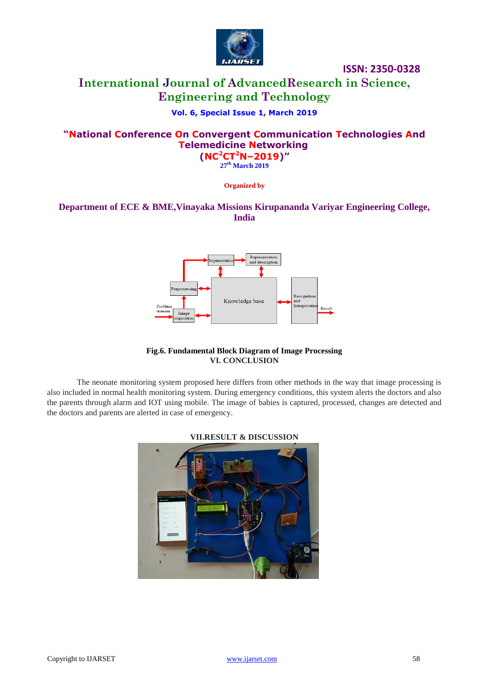

## **International Journal of AdvancedResearch in Science, Engineering and Technology**

## **Vol. 6, Special Issue 1, March 2019**

## **"National Conference On Convergent Communication Technologies And Telemedicine Networking (NC<sup>2</sup>CT<sup>2</sup>N–2019)"**

**27 th March 2019**

**Organized by**

## **Department of ECE & BME,Vinayaka Missions Kirupananda Variyar Engineering College, India**



#### **Fig.6. Fundamental Block Diagram of Image Processing VI. CONCLUSION**

The neonate monitoring system proposed here differs from other methods in the way that image processing is also included in normal health monitoring system. During emergency conditions, this system alerts the doctors and also the parents through alarm and IOT using mobile. The image of babies is captured, processed, changes are detected and the doctors and parents are alerted in case of emergency.



**VII.RESULT & DISCUSSION**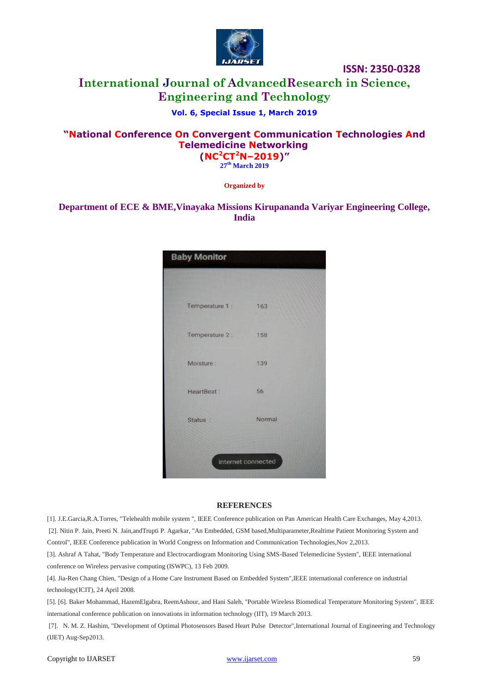

## **International Journal of AdvancedResearch in Science, Engineering and Technology**

## **Vol. 6, Special Issue 1, March 2019**

## **"National Conference On Convergent Communication Technologies And Telemedicine Networking (NC<sup>2</sup>CT<sup>2</sup>N–2019)"**

**27 th March 2019**

**Organized by**

## **Department of ECE & BME,Vinayaka Missions Kirupananda Variyar Engineering College, India**



#### **REFERENCES**

[1]. J.E.Garcia,R.A.Torres, "Telehealth mobile system ", IEEE Conference publication on Pan American Health Care Exchanges, May 4,2013. [2]. Nitin P. Jain, Preeti N. Jain,andTrupti P. Agarkar, "An Embedded, GSM based,Multiparameter,Realtime Patient Monitoring System and Control", IEEE Conference publication in World Congress on Information and Communication Technologies,Nov 2,2013.

[3]. Ashraf A Tahat, "Body Temperature and Electrocardiogram Monitoring Using SMS-Based Telemedicine System", IEEE international conference on Wireless pervasive computing (ISWPC), 13 Feb 2009.

[4]. Jia-Ren Chang Chien, "Design of a Home Care Instrument Based on Embedded System",IEEE international conference on industrial technology(ICIT), 24 April 2008.

[5]. [6]. Baker Mohammad, HazemElgabra, ReemAshour, and Hani Saleh, "Portable Wireless Biomedical Temperature Monitoring System", IEEE international conference publication on innovations in information technology (IIT), 19 March 2013.

[7]. N. M. Z. Hashim, "Development of Optimal Photosensors Based Heart Pulse Detector",International Journal of Engineering and Technology (IJET) Aug-Sep2013.